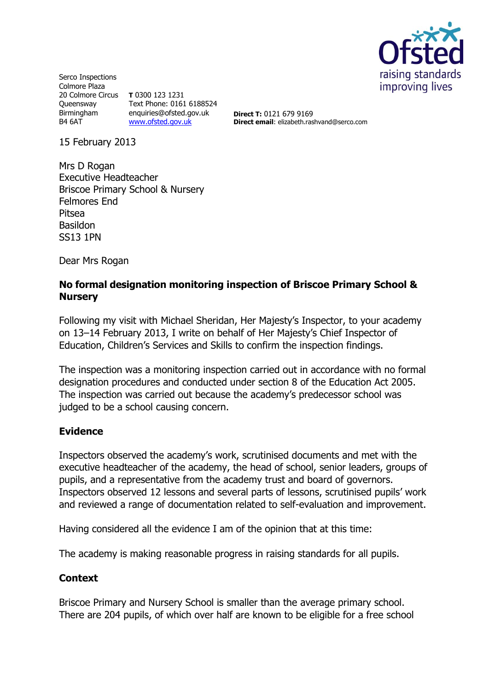

Serco Inspections Colmore Plaza 20 Colmore Circus **T** 0300 123 1231 **Queensway** Birmingham B4 6AT Text Phone: 0161 6188524 enquiries@ofsted.gov.uk [www.ofsted.gov.uk](http://www.ofsted.gov.uk/)

**Direct T:** 0121 679 9169 **Direct email**: elizabeth.rashvand@serco.com

15 February 2013

Mrs D Rogan Executive Headteacher Briscoe Primary School & Nursery Felmores End Pitsea Basildon SS13 1PN

Dear Mrs Rogan

#### **No formal designation monitoring inspection of Briscoe Primary School & Nursery**

Following my visit with Michael Sheridan, Her Majesty's Inspector, to your academy on 13–14 February 2013, I write on behalf of Her Majesty's Chief Inspector of Education, Children's Services and Skills to confirm the inspection findings.

The inspection was a monitoring inspection carried out in accordance with no formal designation procedures and conducted under section 8 of the Education Act 2005. The inspection was carried out because the academy's predecessor school was judged to be a school causing concern.

## **Evidence**

Inspectors observed the academy's work, scrutinised documents and met with the executive headteacher of the academy, the head of school, senior leaders, groups of pupils, and a representative from the academy trust and board of governors. Inspectors observed 12 lessons and several parts of lessons, scrutinised pupils' work and reviewed a range of documentation related to self-evaluation and improvement.

Having considered all the evidence I am of the opinion that at this time:

The academy is making reasonable progress in raising standards for all pupils.

#### **Context**

Briscoe Primary and Nursery School is smaller than the average primary school. There are 204 pupils, of which over half are known to be eligible for a free school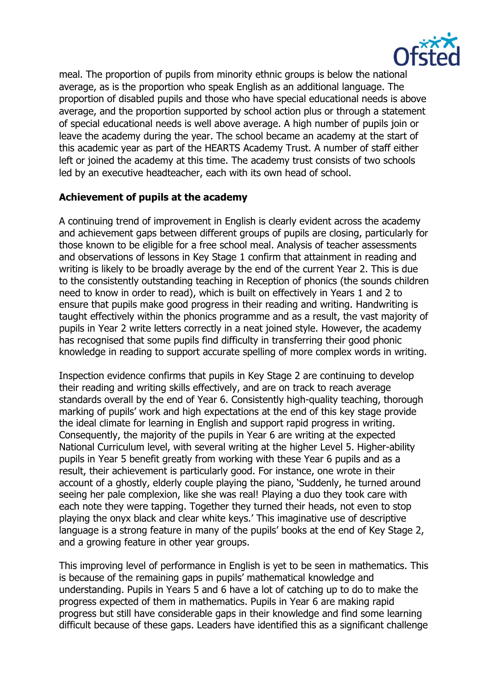

meal. The proportion of pupils from minority ethnic groups is below the national average, as is the proportion who speak English as an additional language. The proportion of disabled pupils and those who have special educational needs is above average, and the proportion supported by school action plus or through a statement of special educational needs is well above average. A high number of pupils join or leave the academy during the year. The school became an academy at the start of this academic year as part of the HEARTS Academy Trust. A number of staff either left or joined the academy at this time. The academy trust consists of two schools led by an executive headteacher, each with its own head of school.

# **Achievement of pupils at the academy**

A continuing trend of improvement in English is clearly evident across the academy and achievement gaps between different groups of pupils are closing, particularly for those known to be eligible for a free school meal. Analysis of teacher assessments and observations of lessons in Key Stage 1 confirm that attainment in reading and writing is likely to be broadly average by the end of the current Year 2. This is due to the consistently outstanding teaching in Reception of phonics (the sounds children need to know in order to read), which is built on effectively in Years 1 and 2 to ensure that pupils make good progress in their reading and writing. Handwriting is taught effectively within the phonics programme and as a result, the vast majority of pupils in Year 2 write letters correctly in a neat joined style. However, the academy has recognised that some pupils find difficulty in transferring their good phonic knowledge in reading to support accurate spelling of more complex words in writing.

Inspection evidence confirms that pupils in Key Stage 2 are continuing to develop their reading and writing skills effectively, and are on track to reach average standards overall by the end of Year 6. Consistently high-quality teaching, thorough marking of pupils' work and high expectations at the end of this key stage provide the ideal climate for learning in English and support rapid progress in writing. Consequently, the majority of the pupils in Year 6 are writing at the expected National Curriculum level, with several writing at the higher Level 5. Higher-ability pupils in Year 5 benefit greatly from working with these Year 6 pupils and as a result, their achievement is particularly good. For instance, one wrote in their account of a ghostly, elderly couple playing the piano, 'Suddenly, he turned around seeing her pale complexion, like she was real! Playing a duo they took care with each note they were tapping. Together they turned their heads, not even to stop playing the onyx black and clear white keys.' This imaginative use of descriptive language is a strong feature in many of the pupils' books at the end of Key Stage 2, and a growing feature in other year groups.

This improving level of performance in English is yet to be seen in mathematics. This is because of the remaining gaps in pupils' mathematical knowledge and understanding. Pupils in Years 5 and 6 have a lot of catching up to do to make the progress expected of them in mathematics. Pupils in Year 6 are making rapid progress but still have considerable gaps in their knowledge and find some learning difficult because of these gaps. Leaders have identified this as a significant challenge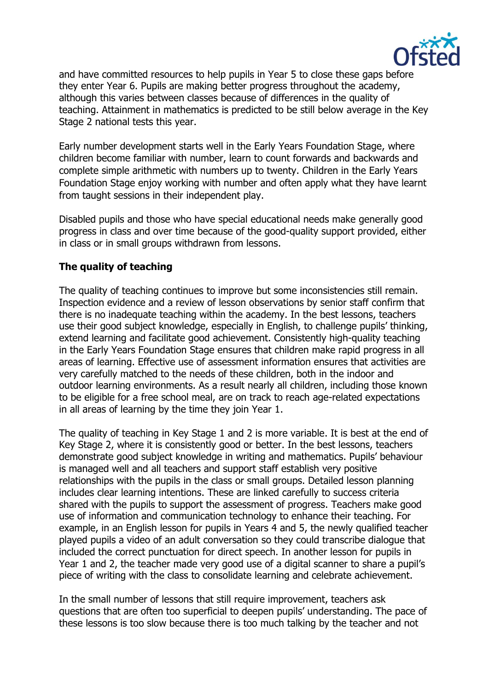

and have committed resources to help pupils in Year 5 to close these gaps before they enter Year 6. Pupils are making better progress throughout the academy, although this varies between classes because of differences in the quality of teaching. Attainment in mathematics is predicted to be still below average in the Key Stage 2 national tests this year.

Early number development starts well in the Early Years Foundation Stage, where children become familiar with number, learn to count forwards and backwards and complete simple arithmetic with numbers up to twenty. Children in the Early Years Foundation Stage enjoy working with number and often apply what they have learnt from taught sessions in their independent play.

Disabled pupils and those who have special educational needs make generally good progress in class and over time because of the good-quality support provided, either in class or in small groups withdrawn from lessons.

## **The quality of teaching**

The quality of teaching continues to improve but some inconsistencies still remain. Inspection evidence and a review of lesson observations by senior staff confirm that there is no inadequate teaching within the academy. In the best lessons, teachers use their good subject knowledge, especially in English, to challenge pupils' thinking, extend learning and facilitate good achievement. Consistently high-quality teaching in the Early Years Foundation Stage ensures that children make rapid progress in all areas of learning. Effective use of assessment information ensures that activities are very carefully matched to the needs of these children, both in the indoor and outdoor learning environments. As a result nearly all children, including those known to be eligible for a free school meal, are on track to reach age-related expectations in all areas of learning by the time they join Year 1.

The quality of teaching in Key Stage 1 and 2 is more variable. It is best at the end of Key Stage 2, where it is consistently good or better. In the best lessons, teachers demonstrate good subject knowledge in writing and mathematics. Pupils' behaviour is managed well and all teachers and support staff establish very positive relationships with the pupils in the class or small groups. Detailed lesson planning includes clear learning intentions. These are linked carefully to success criteria shared with the pupils to support the assessment of progress. Teachers make good use of information and communication technology to enhance their teaching. For example, in an English lesson for pupils in Years 4 and 5, the newly qualified teacher played pupils a video of an adult conversation so they could transcribe dialogue that included the correct punctuation for direct speech. In another lesson for pupils in Year 1 and 2, the teacher made very good use of a digital scanner to share a pupil's piece of writing with the class to consolidate learning and celebrate achievement.

In the small number of lessons that still require improvement, teachers ask questions that are often too superficial to deepen pupils' understanding. The pace of these lessons is too slow because there is too much talking by the teacher and not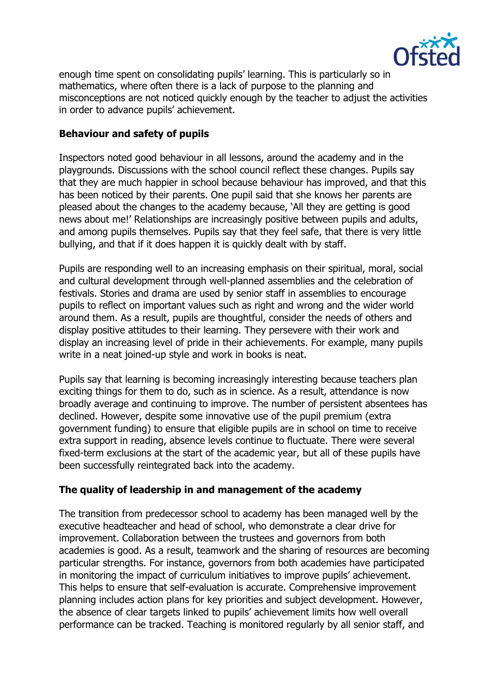

enough time spent on consolidating pupils' learning. This is particularly so in mathematics, where often there is a lack of purpose to the planning and misconceptions are not noticed quickly enough by the teacher to adjust the activities in order to advance pupils' achievement.

## **Behaviour and safety of pupils**

Inspectors noted good behaviour in all lessons, around the academy and in the playgrounds. Discussions with the school council reflect these changes. Pupils say that they are much happier in school because behaviour has improved, and that this has been noticed by their parents. One pupil said that she knows her parents are pleased about the changes to the academy because, 'All they are getting is good news about me!' Relationships are increasingly positive between pupils and adults, and among pupils themselves. Pupils say that they feel safe, that there is very little bullying, and that if it does happen it is quickly dealt with by staff.

Pupils are responding well to an increasing emphasis on their spiritual, moral, social and cultural development through well-planned assemblies and the celebration of festivals. Stories and drama are used by senior staff in assemblies to encourage pupils to reflect on important values such as right and wrong and the wider world around them. As a result, pupils are thoughtful, consider the needs of others and display positive attitudes to their learning. They persevere with their work and display an increasing level of pride in their achievements. For example, many pupils write in a neat joined-up style and work in books is neat.

Pupils say that learning is becoming increasingly interesting because teachers plan exciting things for them to do, such as in science. As a result, attendance is now broadly average and continuing to improve. The number of persistent absentees has declined. However, despite some innovative use of the pupil premium (extra government funding) to ensure that eligible pupils are in school on time to receive extra support in reading, absence levels continue to fluctuate. There were several fixed-term exclusions at the start of the academic year, but all of these pupils have been successfully reintegrated back into the academy.

## **The quality of leadership in and management of the academy**

The transition from predecessor school to academy has been managed well by the executive headteacher and head of school, who demonstrate a clear drive for improvement. Collaboration between the trustees and governors from both academies is good. As a result, teamwork and the sharing of resources are becoming particular strengths. For instance, governors from both academies have participated in monitoring the impact of curriculum initiatives to improve pupils' achievement. This helps to ensure that self-evaluation is accurate. Comprehensive improvement planning includes action plans for key priorities and subject development. However, the absence of clear targets linked to pupils' achievement limits how well overall performance can be tracked. Teaching is monitored regularly by all senior staff, and